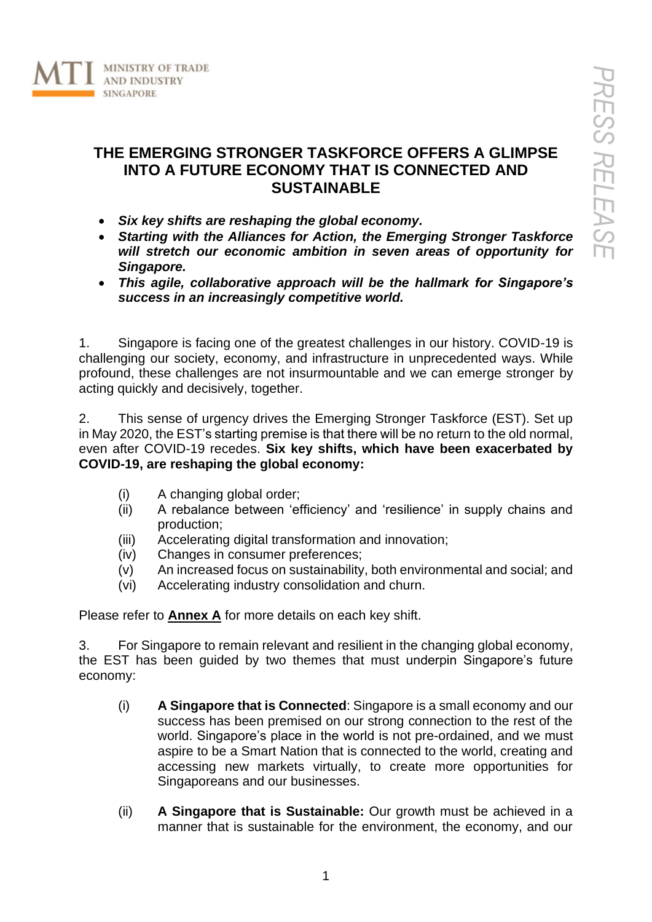

## **THE EMERGING STRONGER TASKFORCE OFFERS A GLIMPSE INTO A FUTURE ECONOMY THAT IS CONNECTED AND SUSTAINABLE**

- *Six key shifts are reshaping the global economy.*
- *Starting with the Alliances for Action, the Emerging Stronger Taskforce will stretch our economic ambition in seven areas of opportunity for Singapore.*
- *This agile, collaborative approach will be the hallmark for Singapore's success in an increasingly competitive world.*

1. Singapore is facing one of the greatest challenges in our history. COVID-19 is challenging our society, economy, and infrastructure in unprecedented ways. While profound, these challenges are not insurmountable and we can emerge stronger by acting quickly and decisively, together.

2. This sense of urgency drives the Emerging Stronger Taskforce (EST). Set up in May 2020, the EST's starting premise is that there will be no return to the old normal, even after COVID-19 recedes. **Six key shifts, which have been exacerbated by COVID-19, are reshaping the global economy:**

- (i) A changing global order;
- (ii) A rebalance between 'efficiency' and 'resilience' in supply chains and production;
- (iii) Accelerating digital transformation and innovation;
- (iv) Changes in consumer preferences;
- (v) An increased focus on sustainability, both environmental and social; and
- (vi) Accelerating industry consolidation and churn.

Please refer to **Annex A** for more details on each key shift.

3. For Singapore to remain relevant and resilient in the changing global economy, the EST has been guided by two themes that must underpin Singapore's future economy:

- (i) **A Singapore that is Connected**: Singapore is a small economy and our success has been premised on our strong connection to the rest of the world. Singapore's place in the world is not pre-ordained, and we must aspire to be a Smart Nation that is connected to the world, creating and accessing new markets virtually, to create more opportunities for Singaporeans and our businesses.
- (ii) **A Singapore that is Sustainable:** Our growth must be achieved in a manner that is sustainable for the environment, the economy, and our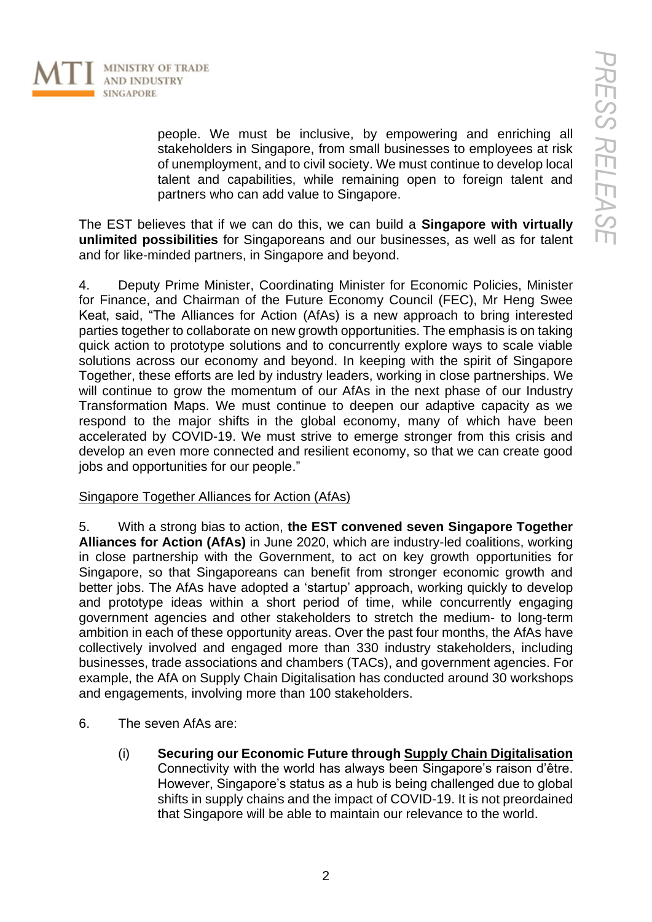

people. We must be inclusive, by empowering and enriching all stakeholders in Singapore, from small businesses to employees at risk of unemployment, and to civil society. We must continue to develop local talent and capabilities, while remaining open to foreign talent and partners who can add value to Singapore.

The EST believes that if we can do this, we can build a **Singapore with virtually unlimited possibilities** for Singaporeans and our businesses, as well as for talent and for like-minded partners, in Singapore and beyond.

4. Deputy Prime Minister, Coordinating Minister for Economic Policies, Minister for Finance, and Chairman of the Future Economy Council (FEC), Mr Heng Swee Keat, said, "The Alliances for Action (AfAs) is a new approach to bring interested parties together to collaborate on new growth opportunities. The emphasis is on taking quick action to prototype solutions and to concurrently explore ways to scale viable solutions across our economy and beyond. In keeping with the spirit of Singapore Together, these efforts are led by industry leaders, working in close partnerships. We will continue to grow the momentum of our AfAs in the next phase of our Industry Transformation Maps. We must continue to deepen our adaptive capacity as we respond to the major shifts in the global economy, many of which have been accelerated by COVID-19. We must strive to emerge stronger from this crisis and develop an even more connected and resilient economy, so that we can create good jobs and opportunities for our people."

## Singapore Together Alliances for Action (AfAs)

5. With a strong bias to action, **the EST convened seven Singapore Together Alliances for Action (AfAs)** in June 2020, which are industry-led coalitions, working in close partnership with the Government, to act on key growth opportunities for Singapore, so that Singaporeans can benefit from stronger economic growth and better jobs. The AfAs have adopted a 'startup' approach, working quickly to develop and prototype ideas within a short period of time, while concurrently engaging government agencies and other stakeholders to stretch the medium- to long-term ambition in each of these opportunity areas. Over the past four months, the AfAs have collectively involved and engaged more than 330 industry stakeholders, including businesses, trade associations and chambers (TACs), and government agencies. For example, the AfA on Supply Chain Digitalisation has conducted around 30 workshops and engagements, involving more than 100 stakeholders.

- 6. The seven AfAs are:
	- (i) **Securing our Economic Future through Supply Chain Digitalisation** Connectivity with the world has always been Singapore's raison d'être. However, Singapore's status as a hub is being challenged due to global shifts in supply chains and the impact of COVID-19. It is not preordained that Singapore will be able to maintain our relevance to the world.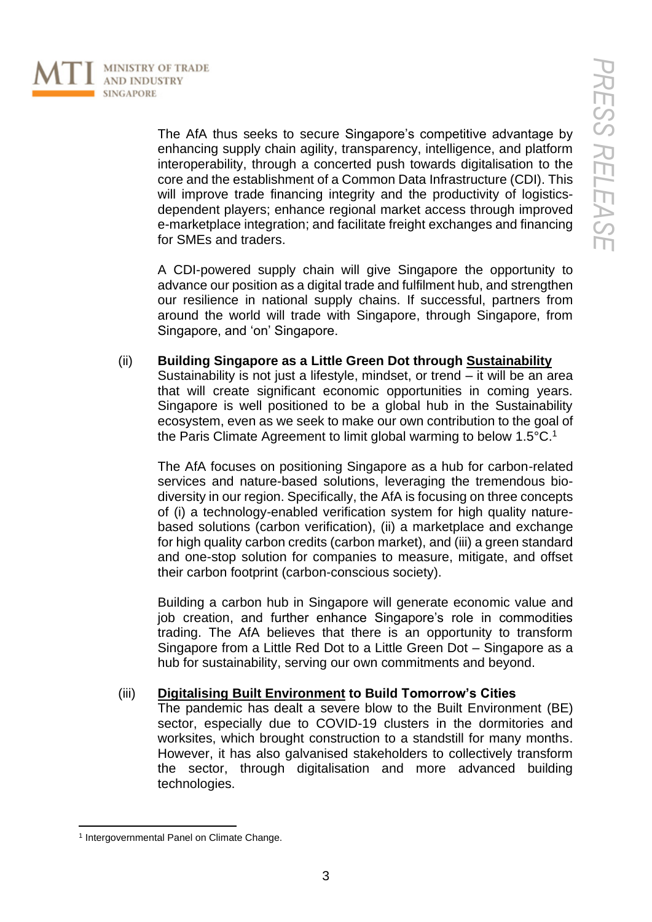

The AfA thus seeks to secure Singapore's competitive advantage by enhancing supply chain agility, transparency, intelligence, and platform interoperability, through a concerted push towards digitalisation to the core and the establishment of a Common Data Infrastructure (CDI). This will improve trade financing integrity and the productivity of logisticsdependent players; enhance regional market access through improved e-marketplace integration; and facilitate freight exchanges and financing for SMEs and traders.

A CDI-powered supply chain will give Singapore the opportunity to advance our position as a digital trade and fulfilment hub, and strengthen our resilience in national supply chains. If successful, partners from around the world will trade with Singapore, through Singapore, from Singapore, and 'on' Singapore.

(ii) **Building Singapore as a Little Green Dot through Sustainability** Sustainability is not just a lifestyle, mindset, or trend – it will be an area that will create significant economic opportunities in coming years. Singapore is well positioned to be a global hub in the Sustainability ecosystem, even as we seek to make our own contribution to the goal of the Paris Climate Agreement to limit global warming to below  $1.5^{\circ}$ C.<sup>1</sup>

The AfA focuses on positioning Singapore as a hub for carbon-related services and nature-based solutions, leveraging the tremendous biodiversity in our region. Specifically, the AfA is focusing on three concepts of (i) a technology-enabled verification system for high quality naturebased solutions (carbon verification), (ii) a marketplace and exchange for high quality carbon credits (carbon market), and (iii) a green standard and one-stop solution for companies to measure, mitigate, and offset their carbon footprint (carbon-conscious society).

Building a carbon hub in Singapore will generate economic value and job creation, and further enhance Singapore's role in commodities trading. The AfA believes that there is an opportunity to transform Singapore from a Little Red Dot to a Little Green Dot – Singapore as a hub for sustainability, serving our own commitments and beyond.

#### (iii) **Digitalising Built Environment to Build Tomorrow's Cities**

The pandemic has dealt a severe blow to the Built Environment (BE) sector, especially due to COVID-19 clusters in the dormitories and worksites, which brought construction to a standstill for many months. However, it has also galvanised stakeholders to collectively transform the sector, through digitalisation and more advanced building technologies.

<sup>1</sup> Intergovernmental Panel on Climate Change.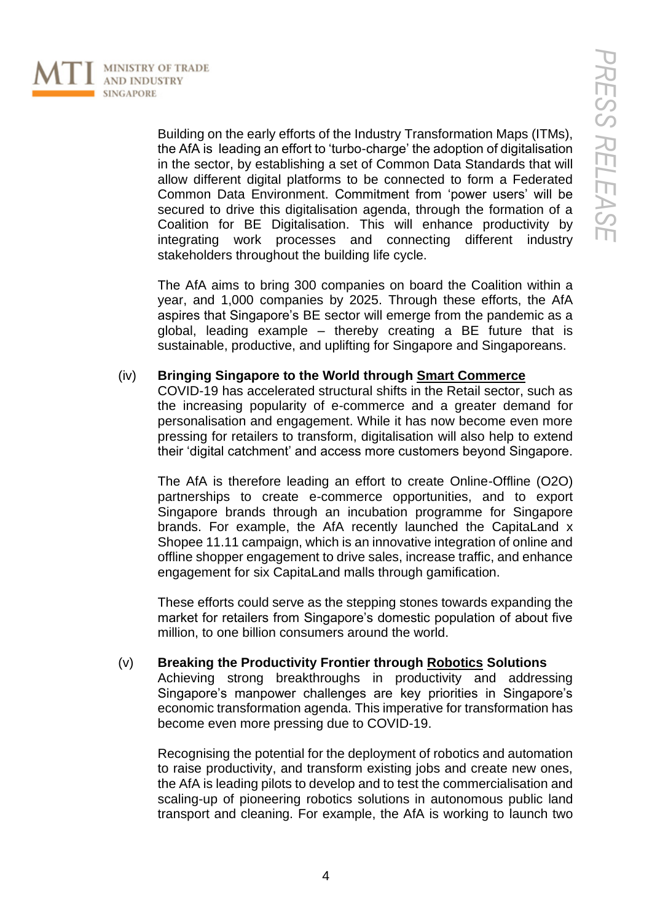

Building on the early efforts of the Industry Transformation Maps (ITMs), the AfA is leading an effort to 'turbo-charge' the adoption of digitalisation in the sector, by establishing a set of Common Data Standards that will allow different digital platforms to be connected to form a Federated Common Data Environment. Commitment from 'power users' will be secured to drive this digitalisation agenda, through the formation of a Coalition for BE Digitalisation. This will enhance productivity by integrating work processes and connecting different industry stakeholders throughout the building life cycle.

The AfA aims to bring 300 companies on board the Coalition within a year, and 1,000 companies by 2025. Through these efforts, the AfA aspires that Singapore's BE sector will emerge from the pandemic as a global, leading example – thereby creating a BE future that is sustainable, productive, and uplifting for Singapore and Singaporeans.

#### (iv) **Bringing Singapore to the World through Smart Commerce**

COVID-19 has accelerated structural shifts in the Retail sector, such as the increasing popularity of e-commerce and a greater demand for personalisation and engagement. While it has now become even more pressing for retailers to transform, digitalisation will also help to extend their 'digital catchment' and access more customers beyond Singapore.

The AfA is therefore leading an effort to create Online-Offline (O2O) partnerships to create e-commerce opportunities, and to export Singapore brands through an incubation programme for Singapore brands. For example, the AfA recently launched the CapitaLand x Shopee 11.11 campaign, which is an innovative integration of online and offline shopper engagement to drive sales, increase traffic, and enhance engagement for six CapitaLand malls through gamification.

These efforts could serve as the stepping stones towards expanding the market for retailers from Singapore's domestic population of about five million, to one billion consumers around the world.

## (v) **Breaking the Productivity Frontier through Robotics Solutions**

Achieving strong breakthroughs in productivity and addressing Singapore's manpower challenges are key priorities in Singapore's economic transformation agenda. This imperative for transformation has become even more pressing due to COVID-19.

Recognising the potential for the deployment of robotics and automation to raise productivity, and transform existing jobs and create new ones, the AfA is leading pilots to develop and to test the commercialisation and scaling-up of pioneering robotics solutions in autonomous public land transport and cleaning. For example, the AfA is working to launch two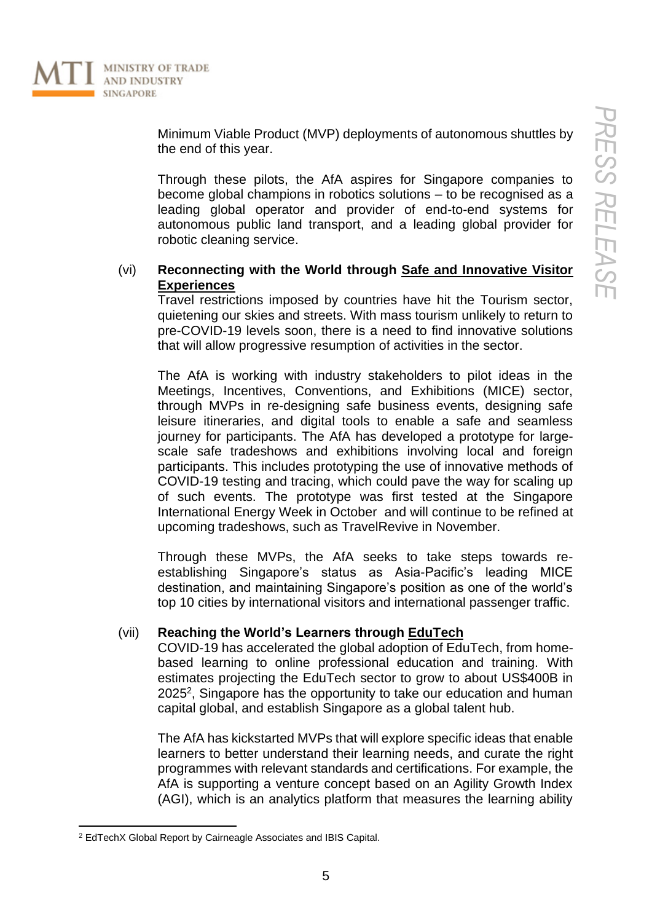

Minimum Viable Product (MVP) deployments of autonomous shuttles by the end of this year.

Through these pilots, the AfA aspires for Singapore companies to become global champions in robotics solutions – to be recognised as a leading global operator and provider of end-to-end systems for autonomous public land transport, and a leading global provider for robotic cleaning service.

#### (vi) **Reconnecting with the World through Safe and Innovative Visitor Experiences**

Travel restrictions imposed by countries have hit the Tourism sector, quietening our skies and streets. With mass tourism unlikely to return to pre-COVID-19 levels soon, there is a need to find innovative solutions that will allow progressive resumption of activities in the sector.

The AfA is working with industry stakeholders to pilot ideas in the Meetings, Incentives, Conventions, and Exhibitions (MICE) sector, through MVPs in re-designing safe business events, designing safe leisure itineraries, and digital tools to enable a safe and seamless journey for participants. The AfA has developed a prototype for largescale safe tradeshows and exhibitions involving local and foreign participants. This includes prototyping the use of innovative methods of COVID-19 testing and tracing, which could pave the way for scaling up of such events. The prototype was first tested at the Singapore International Energy Week in October and will continue to be refined at upcoming tradeshows, such as TravelRevive in November.

Through these MVPs, the AfA seeks to take steps towards reestablishing Singapore's status as Asia-Pacific's leading MICE destination, and maintaining Singapore's position as one of the world's top 10 cities by international visitors and international passenger traffic.

#### (vii) **Reaching the World's Learners through EduTech**

COVID-19 has accelerated the global adoption of EduTech, from homebased learning to online professional education and training. With estimates projecting the EduTech sector to grow to about US\$400B in 2025<sup>2</sup>, Singapore has the opportunity to take our education and human capital global, and establish Singapore as a global talent hub.

The AfA has kickstarted MVPs that will explore specific ideas that enable learners to better understand their learning needs, and curate the right programmes with relevant standards and certifications. For example, the AfA is supporting a venture concept based on an Agility Growth Index (AGI), which is an analytics platform that measures the learning ability

<sup>2</sup> EdTechX Global Report by Cairneagle Associates and IBIS Capital.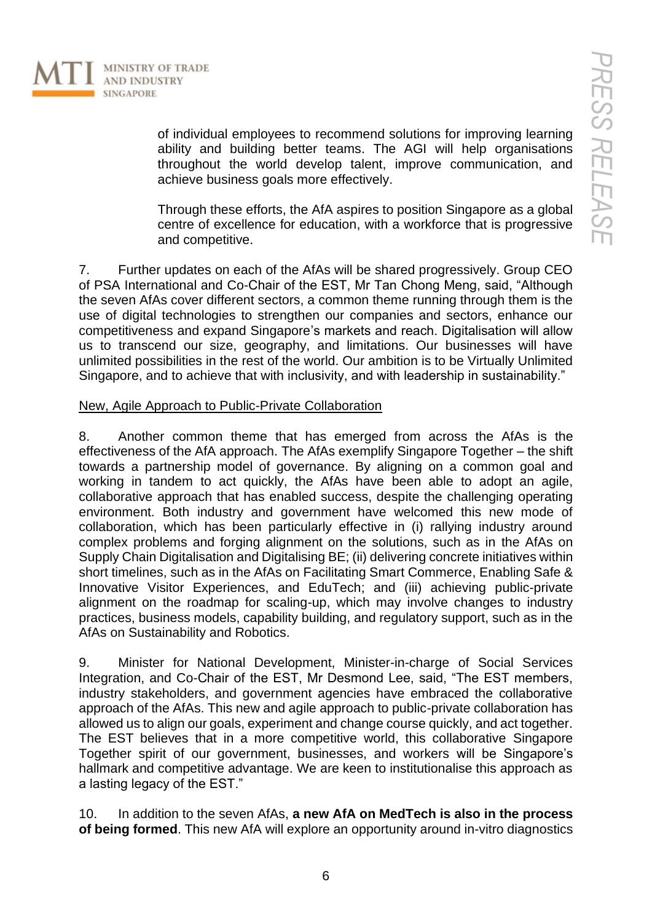

of individual employees to recommend solutions for improving learning ability and building better teams. The AGI will help organisations throughout the world develop talent, improve communication, and achieve business goals more effectively.

Through these efforts, the AfA aspires to position Singapore as a global centre of excellence for education, with a workforce that is progressive and competitive.

7. Further updates on each of the AfAs will be shared progressively. Group CEO of PSA International and Co-Chair of the EST, Mr Tan Chong Meng, said, "Although the seven AfAs cover different sectors, a common theme running through them is the use of digital technologies to strengthen our companies and sectors, enhance our competitiveness and expand Singapore's markets and reach. Digitalisation will allow us to transcend our size, geography, and limitations. Our businesses will have unlimited possibilities in the rest of the world. Our ambition is to be Virtually Unlimited Singapore, and to achieve that with inclusivity, and with leadership in sustainability."

#### New, Agile Approach to Public-Private Collaboration

8. Another common theme that has emerged from across the AfAs is the effectiveness of the AfA approach. The AfAs exemplify Singapore Together – the shift towards a partnership model of governance. By aligning on a common goal and working in tandem to act quickly, the AfAs have been able to adopt an agile, collaborative approach that has enabled success, despite the challenging operating environment. Both industry and government have welcomed this new mode of collaboration, which has been particularly effective in (i) rallying industry around complex problems and forging alignment on the solutions, such as in the AfAs on Supply Chain Digitalisation and Digitalising BE; (ii) delivering concrete initiatives within short timelines, such as in the AfAs on Facilitating Smart Commerce, Enabling Safe & Innovative Visitor Experiences, and EduTech; and (iii) achieving public-private alignment on the roadmap for scaling-up, which may involve changes to industry practices, business models, capability building, and regulatory support, such as in the AfAs on Sustainability and Robotics.

9. Minister for National Development, Minister-in-charge of Social Services Integration, and Co-Chair of the EST, Mr Desmond Lee, said, "The EST members, industry stakeholders, and government agencies have embraced the collaborative approach of the AfAs. This new and agile approach to public-private collaboration has allowed us to align our goals, experiment and change course quickly, and act together. The EST believes that in a more competitive world, this collaborative Singapore Together spirit of our government, businesses, and workers will be Singapore's hallmark and competitive advantage. We are keen to institutionalise this approach as a lasting legacy of the EST."

10. In addition to the seven AfAs, **a new AfA on MedTech is also in the process of being formed**. This new AfA will explore an opportunity around in-vitro diagnostics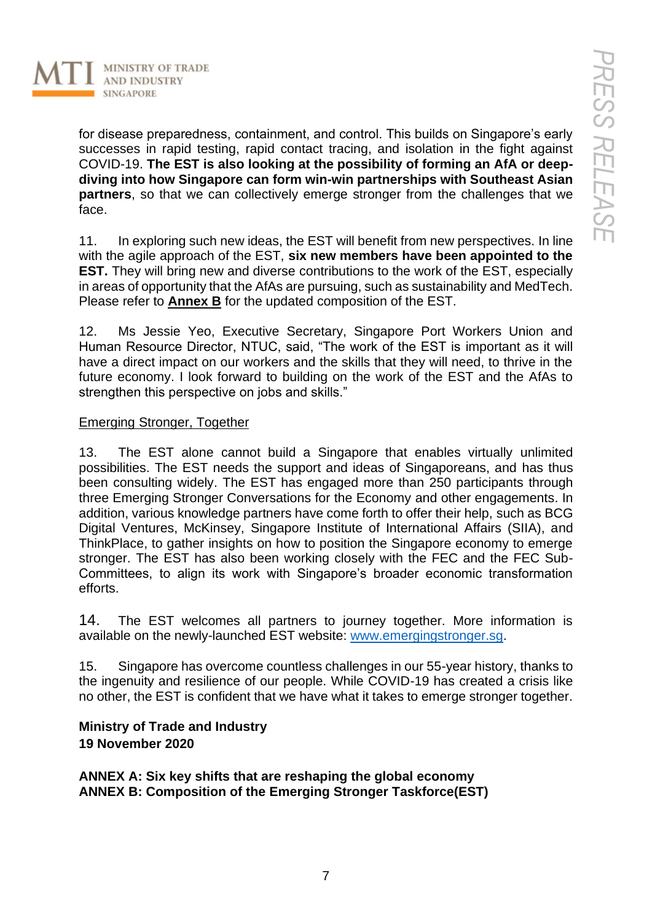

for disease preparedness, containment, and control. This builds on Singapore's early successes in rapid testing, rapid contact tracing, and isolation in the fight against COVID-19. **The EST is also looking at the possibility of forming an AfA or deepdiving into how Singapore can form win-win partnerships with Southeast Asian partners**, so that we can collectively emerge stronger from the challenges that we face.

11. In exploring such new ideas, the EST will benefit from new perspectives. In line with the agile approach of the EST, **six new members have been appointed to the EST.** They will bring new and diverse contributions to the work of the EST, especially in areas of opportunity that the AfAs are pursuing, such as sustainability and MedTech. Please refer to **Annex B** for the updated composition of the EST.

12. Ms Jessie Yeo, Executive Secretary, Singapore Port Workers Union and Human Resource Director, NTUC, said, "The work of the EST is important as it will have a direct impact on our workers and the skills that they will need, to thrive in the future economy. I look forward to building on the work of the EST and the AfAs to strengthen this perspective on jobs and skills."

#### Emerging Stronger, Together

13. The EST alone cannot build a Singapore that enables virtually unlimited possibilities. The EST needs the support and ideas of Singaporeans, and has thus been consulting widely. The EST has engaged more than 250 participants through three Emerging Stronger Conversations for the Economy and other engagements. In addition, various knowledge partners have come forth to offer their help, such as BCG Digital Ventures, McKinsey, Singapore Institute of International Affairs (SIIA), and ThinkPlace, to gather insights on how to position the Singapore economy to emerge stronger. The EST has also been working closely with the FEC and the FEC Sub-Committees, to align its work with Singapore's broader economic transformation efforts.

14. The EST welcomes all partners to journey together. More information is available on the newly-launched EST website: [www.emergingstronger.sg.](http://www.emergingstronger.sg/)

15. Singapore has overcome countless challenges in our 55-year history, thanks to the ingenuity and resilience of our people. While COVID-19 has created a crisis like no other, the EST is confident that we have what it takes to emerge stronger together.

## **Ministry of Trade and Industry 19 November 2020**

**ANNEX A: Six key shifts that are reshaping the global economy ANNEX B: Composition of the Emerging Stronger Taskforce(EST)**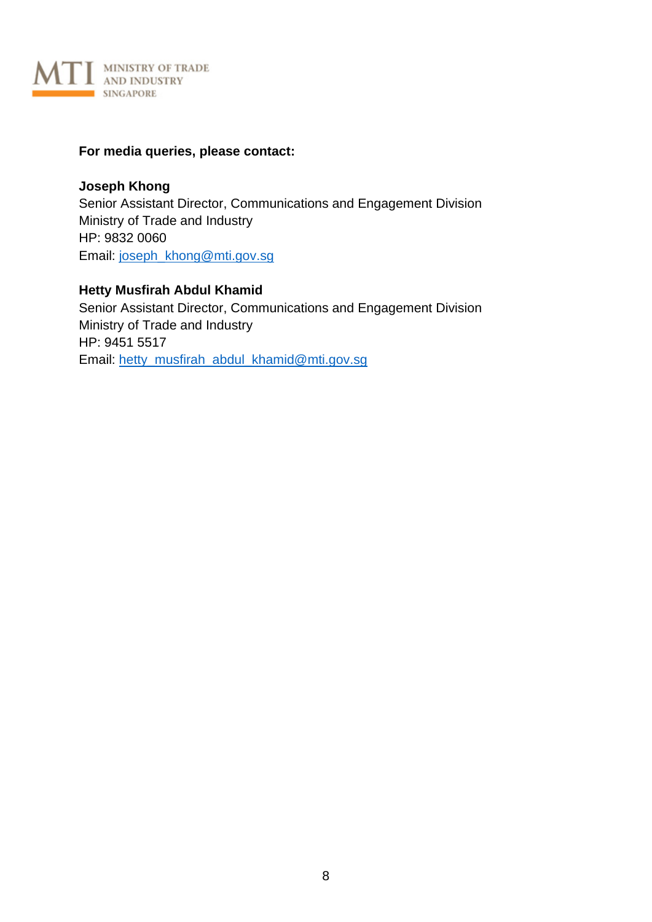

#### **For media queries, please contact:**

**Joseph Khong**  Senior Assistant Director, Communications and Engagement Division Ministry of Trade and Industry HP: 9832 0060 Email: [joseph\\_khong@mti.gov.sg](mailto:joseph_khong@mti.gov.sg)

**Hetty Musfirah Abdul Khamid** Senior Assistant Director, Communications and Engagement Division Ministry of Trade and Industry HP: 9451 5517 Email: [hetty\\_musfirah\\_abdul\\_khamid@mti.gov.sg](mailto:hetty_musfirah_abdul_khamid@mti.gov.sg)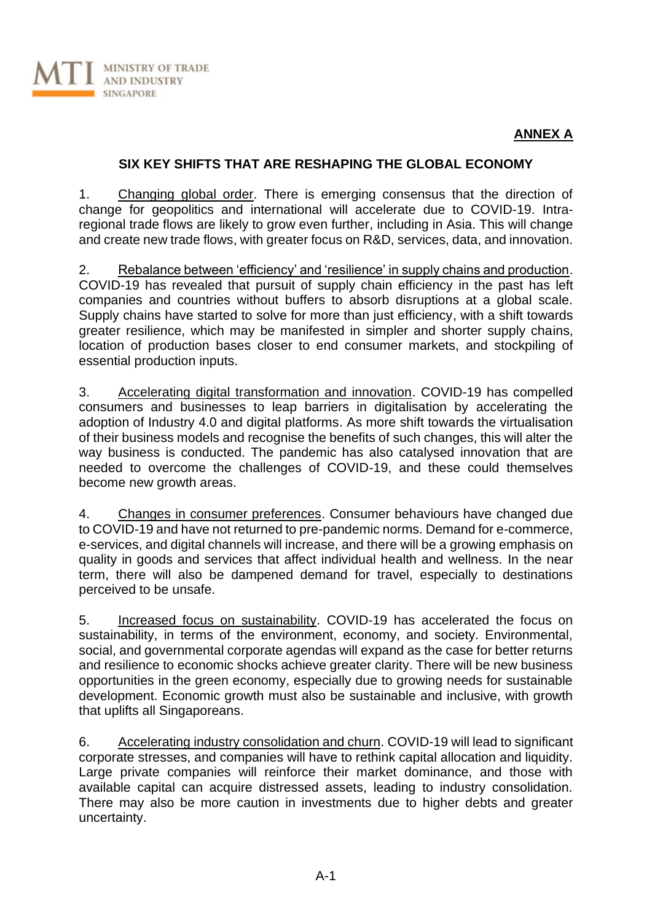## **ANNEX A**

#### **SIX KEY SHIFTS THAT ARE RESHAPING THE GLOBAL ECONOMY**

1. Changing global order. There is emerging consensus that the direction of change for geopolitics and international will accelerate due to COVID-19. Intraregional trade flows are likely to grow even further, including in Asia. This will change and create new trade flows, with greater focus on R&D, services, data, and innovation.

2. Rebalance between 'efficiency' and 'resilience' in supply chains and production. COVID-19 has revealed that pursuit of supply chain efficiency in the past has left companies and countries without buffers to absorb disruptions at a global scale. Supply chains have started to solve for more than just efficiency, with a shift towards greater resilience, which may be manifested in simpler and shorter supply chains, location of production bases closer to end consumer markets, and stockpiling of essential production inputs.

3. Accelerating digital transformation and innovation. COVID-19 has compelled consumers and businesses to leap barriers in digitalisation by accelerating the adoption of Industry 4.0 and digital platforms. As more shift towards the virtualisation of their business models and recognise the benefits of such changes, this will alter the way business is conducted. The pandemic has also catalysed innovation that are needed to overcome the challenges of COVID-19, and these could themselves become new growth areas.

4. Changes in consumer preferences. Consumer behaviours have changed due to COVID-19 and have not returned to pre-pandemic norms. Demand for e-commerce, e-services, and digital channels will increase, and there will be a growing emphasis on quality in goods and services that affect individual health and wellness. In the near term, there will also be dampened demand for travel, especially to destinations perceived to be unsafe.

5. Increased focus on sustainability. COVID-19 has accelerated the focus on sustainability, in terms of the environment, economy, and society. Environmental, social, and governmental corporate agendas will expand as the case for better returns and resilience to economic shocks achieve greater clarity. There will be new business opportunities in the green economy, especially due to growing needs for sustainable development. Economic growth must also be sustainable and inclusive, with growth that uplifts all Singaporeans.

6. Accelerating industry consolidation and churn. COVID-19 will lead to significant corporate stresses, and companies will have to rethink capital allocation and liquidity. Large private companies will reinforce their market dominance, and those with available capital can acquire distressed assets, leading to industry consolidation. There may also be more caution in investments due to higher debts and greater uncertainty.